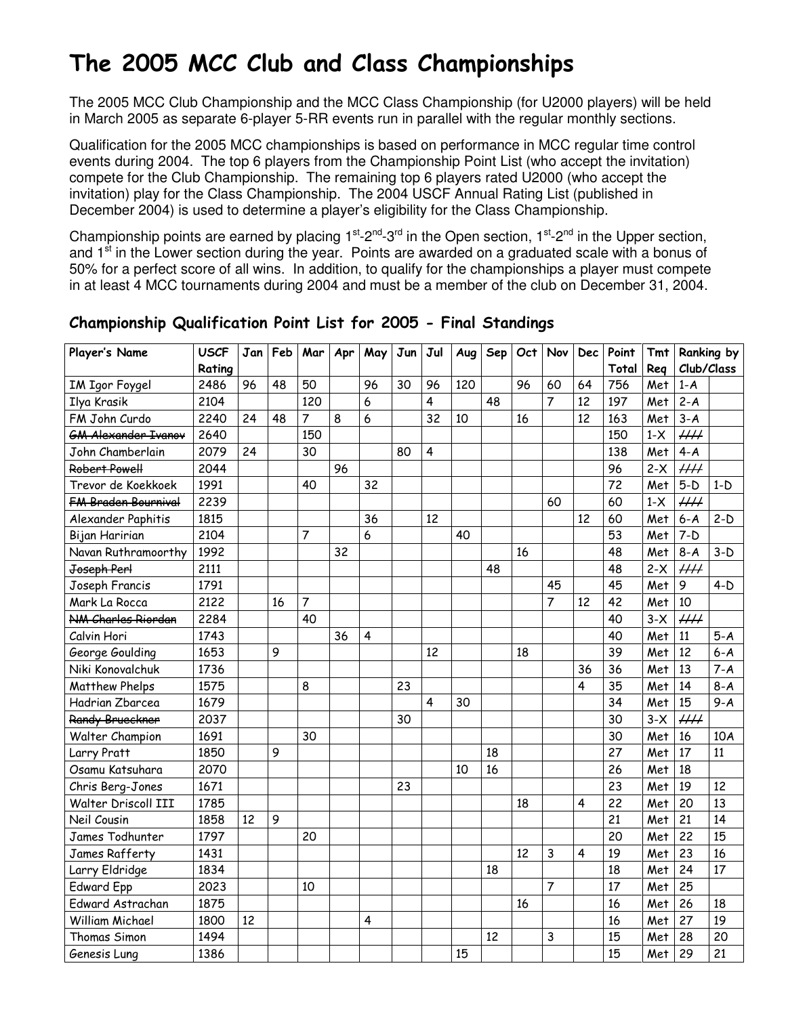# The 2005 MCC Club and Class Championships

The 2005 MCC Club Championship and the MCC Class Championship (for U2000 players) will be held in March 2005 as separate 6-player 5-RR events run in parallel with the regular monthly sections.

Qualification for the 2005 MCC championships is based on performance in MCC regular time control events during 2004. The top 6 players from the Championship Point List (who accept the invitation) compete for the Club Championship. The remaining top 6 players rated U2000 (who accept the invitation) play for the Class Championship. The 2004 USCF Annual Rating List (published in December 2004) is used to determine a player's eligibility for the Class Championship.

Championship points are earned by placing  $1^{st}$ -2<sup>nd</sup>-3<sup>rd</sup> in the Open section,  $1^{st}$ -2<sup>nd</sup> in the Upper section, and 1<sup>st</sup> in the Lower section during the year. Points are awarded on a graduated scale with a bonus of 50% for a perfect score of all wins. In addition, to qualify for the championships a player must compete in at least 4 MCC tournaments during 2004 and must be a member of the club on December 31, 2004.

| Player's Name              | <b>USCF</b> |    | Jan   Feb | Mar            | Apr | May                     | Jun | Jul            | Aug | Sep | Oct | Nov            | <b>Dec</b>              | Point | <b>Tmt</b> |                 | Ranking by |
|----------------------------|-------------|----|-----------|----------------|-----|-------------------------|-----|----------------|-----|-----|-----|----------------|-------------------------|-------|------------|-----------------|------------|
|                            | Rating      |    |           |                |     |                         |     |                |     |     |     |                |                         | Total | Reg        | Club/Class      |            |
| <b>IM Igor Foygel</b>      | 2486        | 96 | 48        | 50             |     | 96                      | 30  | 96             | 120 |     | 96  | 60             | 64                      | 756   | Met        | $1-A$           |            |
| Ilya Krasik                | 2104        |    |           | 120            |     | 6                       |     | $\overline{4}$ |     | 48  |     | $\overline{7}$ | 12                      | 197   | Met        | $2 - A$         |            |
| FM John Curdo              | 2240        | 24 | 48        | $\overline{7}$ | 8   | 6                       |     | 32             | 10  |     | 16  |                | 12                      | 163   | Met        | $3 - A$         |            |
| <b>GM Alexander Ivanov</b> | 2640        |    |           | 150            |     |                         |     |                |     |     |     |                |                         | 150   | $1-X$      | $\mu\mu$        |            |
| John Chamberlain           | 2079        | 24 |           | 30             |     |                         | 80  | $\overline{4}$ |     |     |     |                |                         | 138   | Met        | $4 - A$         |            |
| Robert Powell              | 2044        |    |           |                | 96  |                         |     |                |     |     |     |                |                         | 96    | $2-X$      | $\mu\mu$        |            |
| Trevor de Koekkoek         | 1991        |    |           | 40             |     | 32                      |     |                |     |     |     |                |                         | 72    | Met        | $5-D$           | $1-D$      |
| <b>FM Braden Bournival</b> | 2239        |    |           |                |     |                         |     |                |     |     |     | 60             |                         | 60    | $1-X$      | $\mu\mu$        |            |
| Alexander Paphitis         | 1815        |    |           |                |     | 36                      |     | 12             |     |     |     |                | 12                      | 60    | Met        | $6 - A$         | $2-D$      |
| Bijan Haririan             | 2104        |    |           | $\overline{7}$ |     | 6                       |     |                | 40  |     |     |                |                         | 53    | Met        | $7-D$           |            |
| Navan Ruthramoorthy        | 1992        |    |           |                | 32  |                         |     |                |     |     | 16  |                |                         | 48    | Met        | $8-A$           | $3-D$      |
| Joseph Perl                | 2111        |    |           |                |     |                         |     |                |     | 48  |     |                |                         | 48    | $2-X$      | HH              |            |
| Joseph Francis             | 1791        |    |           |                |     |                         |     |                |     |     |     | 45             |                         | 45    | Met        | 9               | $4-D$      |
| Mark La Rocca              | 2122        |    | 16        | $\overline{7}$ |     |                         |     |                |     |     |     | $\overline{7}$ | 12                      | 42    | Met        | 10              |            |
| NM Charles Riordan         | 2284        |    |           | 40             |     |                         |     |                |     |     |     |                |                         | 40    | $3-X$      | $\mu\mu$        |            |
| Calvin Hori                | 1743        |    |           |                | 36  | $\overline{\mathbf{4}}$ |     |                |     |     |     |                |                         | 40    | Met        | 11              | $5-A$      |
| George Goulding            | 1653        |    | 9         |                |     |                         |     | 12             |     |     | 18  |                |                         | 39    | Met        | 12              | $6 - A$    |
| Niki Konovalchuk           | 1736        |    |           |                |     |                         |     |                |     |     |     |                | 36                      | 36    | Met        | 13              | $7 - A$    |
| <b>Matthew Phelps</b>      | 1575        |    |           | 8              |     |                         | 23  |                |     |     |     |                | 4                       | 35    | Met        | 14              | $8 - A$    |
| Hadrian Zbarcea            | 1679        |    |           |                |     |                         |     | $\overline{4}$ | 30  |     |     |                |                         | 34    | Met        | 15              | $9 - A$    |
| Randy Brueckner            | 2037        |    |           |                |     |                         | 30  |                |     |     |     |                |                         | 30    | $3-X$      | $\overline{HH}$ |            |
| Walter Champion            | 1691        |    |           | 30             |     |                         |     |                |     |     |     |                |                         | 30    | Met        | 16              | 10A        |
| Larry Pratt                | 1850        |    | 9         |                |     |                         |     |                |     | 18  |     |                |                         | 27    | Met        | 17              | 11         |
| Osamu Katsuhara            | 2070        |    |           |                |     |                         |     |                | 10  | 16  |     |                |                         | 26    | Met        | 18              |            |
| Chris Berg-Jones           | 1671        |    |           |                |     |                         | 23  |                |     |     |     |                |                         | 23    | Met        | 19              | 12         |
| Walter Driscoll III        | 1785        |    |           |                |     |                         |     |                |     |     | 18  |                | $\overline{\mathbf{4}}$ | 22    | Met        | 20              | 13         |
| Neil Cousin                | 1858        | 12 | 9         |                |     |                         |     |                |     |     |     |                |                         | 21    | Met        | 21              | 14         |
| James Todhunter            | 1797        |    |           | 20             |     |                         |     |                |     |     |     |                |                         | 20    | Met        | 22              | 15         |
| James Rafferty             | 1431        |    |           |                |     |                         |     |                |     |     | 12  | 3              | 4                       | 19    | Met        | 23              | 16         |
| Larry Eldridge             | 1834        |    |           |                |     |                         |     |                |     | 18  |     |                |                         | 18    | Met        | 24              | 17         |
| <b>Edward Epp</b>          | 2023        |    |           | 10             |     |                         |     |                |     |     |     | 7              |                         | 17    | Met        | 25              |            |
| Edward Astrachan           | 1875        |    |           |                |     |                         |     |                |     |     | 16  |                |                         | 16    | Met        | 26              | 18         |
| <b>William Michael</b>     | 1800        | 12 |           |                |     | 4                       |     |                |     |     |     |                |                         | 16    | Met        | 27              | 19         |
| Thomas Simon               | 1494        |    |           |                |     |                         |     |                |     | 12  |     | 3              |                         | 15    | Met        | 28              | 20         |
| Genesis Lung               | 1386        |    |           |                |     |                         |     |                | 15  |     |     |                |                         | 15    | Met        | 29              | 21         |

### Championship Qualification Point List for 2005 - Final Standings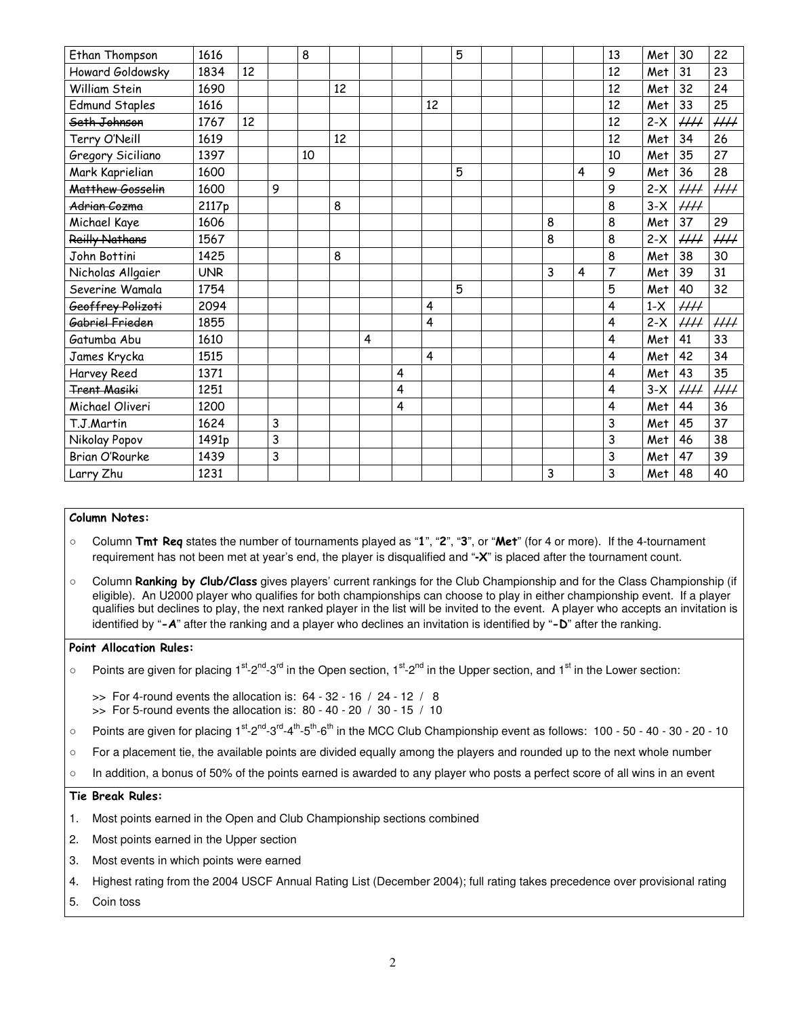| Ethan Thompson        | 1616       |    |   | 8  |    |   |   |    | 5 |  |   |   | 13 | Met   | 30       | 22                       |
|-----------------------|------------|----|---|----|----|---|---|----|---|--|---|---|----|-------|----------|--------------------------|
| Howard Goldowsky      | 1834       | 12 |   |    |    |   |   |    |   |  |   |   | 12 | Met   | 31       | 23                       |
| William Stein         | 1690       |    |   |    | 12 |   |   |    |   |  |   |   | 12 | Met   | 32       | 24                       |
| <b>Edmund Staples</b> | 1616       |    |   |    |    |   |   | 12 |   |  |   |   | 12 | Met   | 33       | 25                       |
| Seth Johnson          | 1767       | 12 |   |    |    |   |   |    |   |  |   |   | 12 | $2-X$ | $\#$     | $\mathcal{H}\mathcal{H}$ |
| Terry O'Neill         | 1619       |    |   |    | 12 |   |   |    |   |  |   |   | 12 | Met   | 34       | 26                       |
| Gregory Siciliano     | 1397       |    |   | 10 |    |   |   |    |   |  |   |   | 10 | Met   | 35       | 27                       |
| Mark Kaprielian       | 1600       |    |   |    |    |   |   |    | 5 |  |   | 4 | 9  | Met   | 36       | 28                       |
| Matthew Gosselin      | 1600       |    | 9 |    |    |   |   |    |   |  |   |   | 9  | $2-X$ | $\#$     | $\mathcal{H}\mathcal{H}$ |
| Adrian Cozma          | 2117p      |    |   |    | 8  |   |   |    |   |  |   |   | 8  | $3-X$ | $\mu\mu$ |                          |
| Michael Kaye          | 1606       |    |   |    |    |   |   |    |   |  | 8 |   | 8  | Met   | 37       | 29                       |
| <b>Reilly Nathans</b> | 1567       |    |   |    |    |   |   |    |   |  | 8 |   | 8  | $2-X$ | $\mu\mu$ | $\mu\mu$                 |
| John Bottini          | 1425       |    |   |    | 8  |   |   |    |   |  |   |   | 8  | Met   | 38       | 30                       |
| Nicholas Allgaier     | <b>UNR</b> |    |   |    |    |   |   |    |   |  | 3 | 4 | 7  | Met   | 39       | 31                       |
| Severine Wamala       | 1754       |    |   |    |    |   |   |    | 5 |  |   |   | 5  | Met   | 40       | 32                       |
| Geoffrey Polizoti     | 2094       |    |   |    |    |   |   | 4  |   |  |   |   | 4  | $1-X$ | $\mu\mu$ |                          |
| Gabriel Frieden       | 1855       |    |   |    |    |   |   | 4  |   |  |   |   | 4  | $2-X$ | $\mu\mu$ | $\mu\mu$                 |
| Gatumba Abu           | 1610       |    |   |    |    | 4 |   |    |   |  |   |   | 4  | Met   | 41       | 33                       |
| James Krycka          | 1515       |    |   |    |    |   |   | 4  |   |  |   |   | 4  | Met   | 42       | 34                       |
| Harvey Reed           | 1371       |    |   |    |    |   | 4 |    |   |  |   |   | 4  | Met   | 43       | 35                       |
| <b>Trent Masiki</b>   | 1251       |    |   |    |    |   | 4 |    |   |  |   |   | 4  | $3-X$ | $\mu\mu$ | HH 1                     |
| Michael Oliveri       | 1200       |    |   |    |    |   | 4 |    |   |  |   |   | 4  | Met   | 44       | 36                       |
| T.J.Martin            | 1624       |    | 3 |    |    |   |   |    |   |  |   |   | 3  | Met   | 45       | 37                       |
| Nikolay Popov         | 1491p      |    | 3 |    |    |   |   |    |   |  |   |   | 3  | Met   | 46       | 38                       |
| Brian O'Rourke        | 1439       |    | 3 |    |    |   |   |    |   |  |   |   | 3  | Met   | 47       | 39                       |
| Larry Zhu             | 1231       |    |   |    |    |   |   |    |   |  | 3 |   | 3  | Met   | 48       | 40                       |
|                       |            |    |   |    |    |   |   |    |   |  |   |   |    |       |          |                          |

#### Column Notes:

- Column Tmt Req states the number of tournaments played as "1", "2", "3", or "Met" (for 4 or more). If the 4-tournament requirement has not been met at year's end, the player is disqualified and "**-**X" is placed after the tournament count.
- Column **Ranking by Club/Class** gives players' current rankings for the Club Championship and for the Class Championship (if eligible). An U2000 player who qualifies for both championships can choose to play in either championship event. If a player qualifies but declines to play, the next ranked player in the list will be invited to the event. A player who accepts an invitation is identified by "-A" after the ranking and a player who declines an invitation is identified by "-D" after the ranking.

#### Point Allocation Rules:

- Points are given for placing  $1^{st}$ -2<sup>nd</sup>-3<sup>rd</sup> in the Open section,  $1^{st}$ -2<sup>nd</sup> in the Upper section, and  $1^{st}$  in the Lower section:
	- $\gg$  For 4-round events the allocation is: 64 32 16 / 24 12 / 8
	- $\gg$  For 5-round events the allocation is: 80 40 20 / 30 15 / 10
- Points are given for placing 1<sup>st</sup>-2<sup>nd</sup>-3<sup>rd</sup>-4<sup>th</sup>-5<sup>th</sup>-6<sup>th</sup> in the MCC Club Championship event as follows: 100 50 40 30 20 10
- For a placement tie, the available points are divided equally among the players and rounded up to the next whole number
- In addition, a bonus of 50% of the points earned is awarded to any player who posts a perfect score of all wins in an event

#### Tie Break Rules:

- 1. Most points earned in the Open and Club Championship sections combined
- 2. Most points earned in the Upper section
- 3. Most events in which points were earned
- 4. Highest rating from the 2004 USCF Annual Rating List (December 2004); full rating takes precedence over provisional rating
- 5. Coin toss